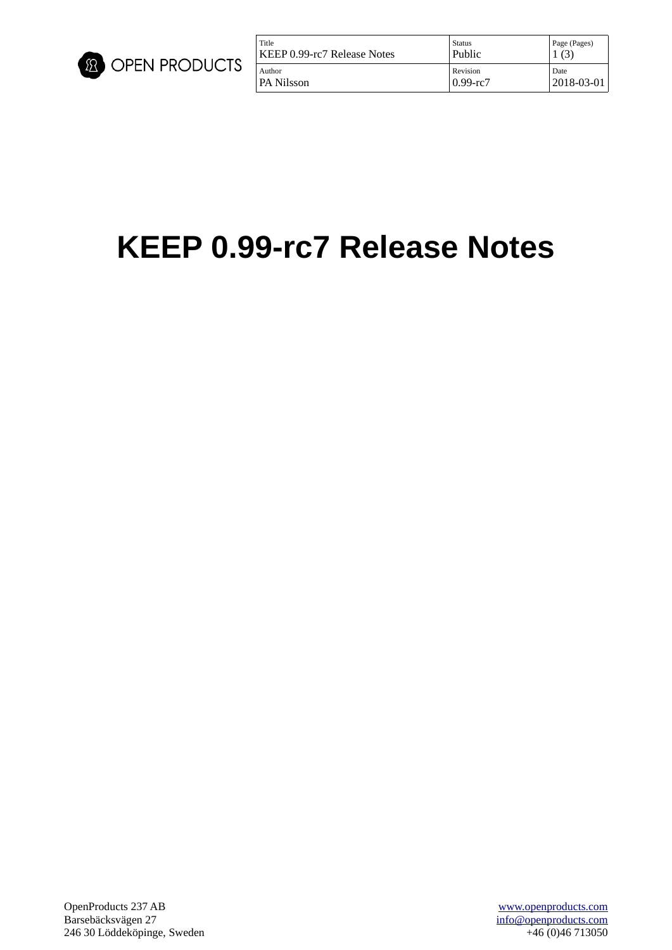

| Title                       | Status       | Page (Pages) |
|-----------------------------|--------------|--------------|
| KEEP 0.99-rc7 Release Notes | Public       | (3)          |
| Author                      | Revision     | Date         |
| PA Nilsson                  | $0.99 - rc7$ | 2018-03-01   |

# **KEEP 0.99-rc7 Release Notes**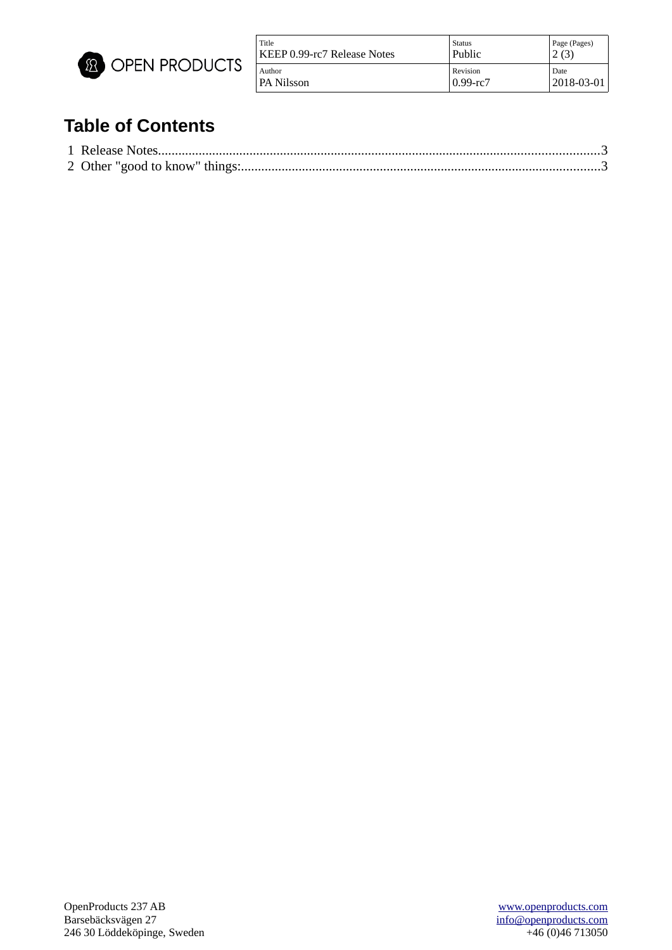

| Title                       | <b>Status</b>  | Page (Pages) |
|-----------------------------|----------------|--------------|
| KEEP 0.99-rc7 Release Notes | Public         | (3)          |
| Author                      | Revision       | Date         |
| PA Nilsson                  | $0.99$ -rc $7$ | 2018-03-01   |

## **Table of Contents**